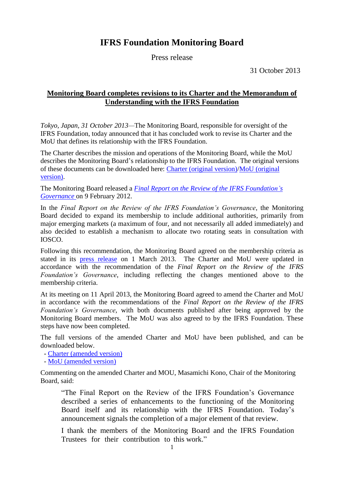# **IFRS Foundation Monitoring Board**

Press release

31 October 2013

### **Monitoring Board completes revisions to its Charter and the Memorandum of Understanding with the IFRS Foundation**

*Tokyo, Japan, 31 October 2013—*The Monitoring Board, responsible for oversight of the IFRS Foundation, today announced that it has concluded work to revise its Charter and the MoU that defines its relationship with the IFRS Foundation.

The Charter describes the mission and operations of the Monitoring Board, while the MoU describes the Monitoring Board's relationship to the IFRS Foundation. The original versions of these documents can be downloaded here: [Charter \(original version\)](http://www.iosco.org/monitoring_board/pdf/Monitoring_Board_Charter.pdf)[/MoU \(original](http://www.iosco.org/monitoring_board/pdf/Monitoring_Board_Mou.pdf)  [version\).](http://www.iosco.org/monitoring_board/pdf/Monitoring_Board_Mou.pdf)

The Monitoring Board released a *[Final Report on the Review](http://www.iosco.org/monitoring_board/pdf/Final%20Report%20on%20the%20Review%20of%20the%20IFRS%20Foundation) of the IFRS Foundation's [Governance](http://www.iosco.org/monitoring_board/pdf/Final%20Report%20on%20the%20Review%20of%20the%20IFRS%20Foundation)* on 9 February 2012.

In the *Final Report on the Review of the IFRS Foundation's Governance*, the Monitoring Board decided to expand its membership to include additional authorities, primarily from major emerging markets (a maximum of four, and not necessarily all added immediately) and also decided to establish a mechanism to allocate two rotating seats in consultation with IOSCO.

Following this recommendation, the Monitoring Board agreed on the membership criteria as stated in its [press release](http://www.iosco.org/monitoring_board/pdf/Press20130301-1.pdf) on 1 March 2013. The Charter and MoU were updated in accordance with the recommendation of the *Final Report on the Review of the IFRS Foundation's Governance*, including reflecting the changes mentioned above to the membership criteria.

At its meeting on 11 April 2013, the Monitoring Board agreed to amend the Charter and MoU in accordance with the recommendations of the *Final Report on the Review of the IFRS Foundation's Governance*, with both documents published after being approved by the Monitoring Board members. The MoU was also agreed to by the IFRS Foundation. These steps have now been completed.

The full versions of the amended Charter and MoU have been published, and can be downloaded below.

- [Charter \(amended version\)](http://www.fsa.go.jp/inter/etc/20131031-2/02.pdf)

- MoU [\(amended version\)](http://www.fsa.go.jp/inter/etc/20131031-2/03.pdf)

Commenting on the amended Charter and MOU, Masamichi Kono, Chair of the Monitoring Board, said:

"The Final Report on the Review of the IFRS Foundation's Governance described a series of enhancements to the functioning of the Monitoring Board itself and its relationship with the IFRS Foundation. Today's announcement signals the completion of a major element of that review.

I thank the members of the Monitoring Board and the IFRS Foundation Trustees for their contribution to this work."